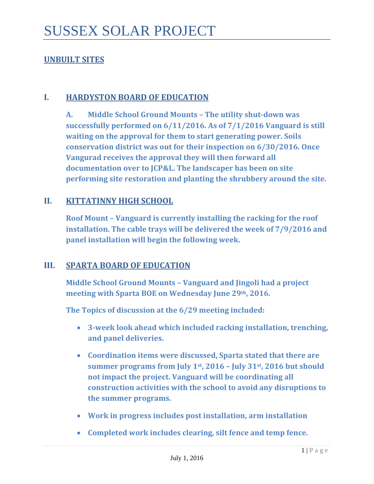# **UNBUILT SITES**

#### **I. HARDYSTON BOARD OF EDUCATION**

**A. Middle School Ground Mounts – The utility shut-down was successfully performed on 6/11/2016. As of 7/1/2016 Vanguard is still waiting on the approval for them to start generating power. Soils conservation district was out for their inspection on 6/30/2016. Once Vangurad receives the approval they will then forward all documentation over to JCP&L. The landscaper has been on site performing site restoration and planting the shrubbery around the site.** 

### **II. KITTATINNY HIGH SCHOOL**

**Roof Mount – Vanguard is currently installing the racking for the roof installation. The cable trays will be delivered the week of 7/9/2016 and panel installation will begin the following week.** 

#### **III. SPARTA BOARD OF EDUCATION**

**Middle School Ground Mounts – Vanguard and Jingoli had a project meeting with Sparta BOE on Wednesday June 29th, 2016.**

**The Topics of discussion at the 6/29 meeting included:** 

- **3-week look ahead which included racking installation, trenching, and panel deliveries.**
- **Coordination items were discussed, Sparta stated that there are summer programs from July 1st, 2016 – July 31st, 2016 but should not impact the project. Vanguard will be coordinating all construction activities with the school to avoid any disruptions to the summer programs.**
- **Work in progress includes post installation, arm installation**
- **Completed work includes clearing, silt fence and temp fence.**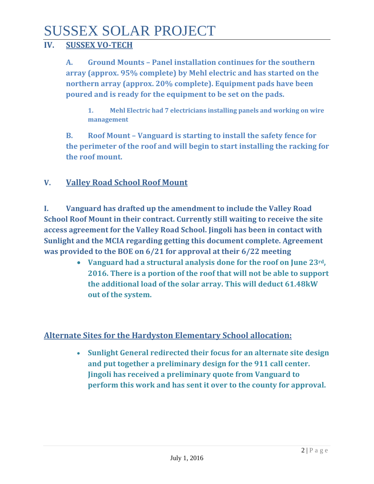# SUSSEX SOLAR PROJECT

# **IV. SUSSEX VO-TECH**

**A. Ground Mounts – Panel installation continues for the southern array (approx. 95% complete) by Mehl electric and has started on the northern array (approx. 20% complete). Equipment pads have been poured and is ready for the equipment to be set on the pads.** 

**1. Mehl Electric had 7 electricians installing panels and working on wire management** 

**B. Roof Mount – Vanguard is starting to install the safety fence for the perimeter of the roof and will begin to start installing the racking for the roof mount.** 

# **V. Valley Road School Roof Mount**

**I. Vanguard has drafted up the amendment to include the Valley Road School Roof Mount in their contract. Currently still waiting to receive the site access agreement for the Valley Road School. Jingoli has been in contact with Sunlight and the MCIA regarding getting this document complete. Agreement was provided to the BOE on 6/21 for approval at their 6/22 meeting**

> • **Vanguard had a structural analysis done for the roof on June 23rd, 2016. There is a portion of the roof that will not be able to support the additional load of the solar array. This will deduct 61.48kW out of the system.**

# **Alternate Sites for the Hardyston Elementary School allocation:**

• **Sunlight General redirected their focus for an alternate site design and put together a preliminary design for the 911 call center. Jingoli has received a preliminary quote from Vanguard to perform this work and has sent it over to the county for approval.**